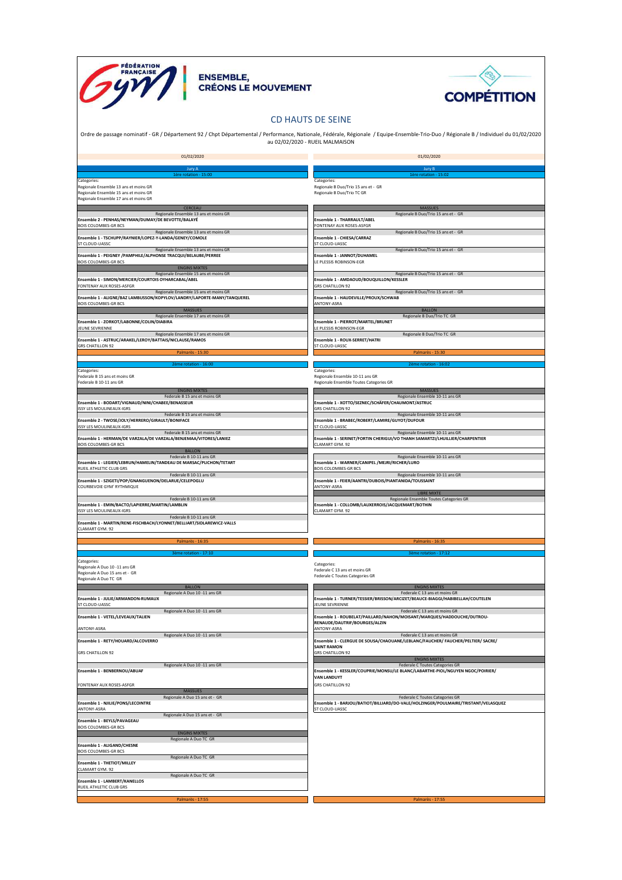



## CD HAUTS DE SEINE

Ordre de passage nominatif - GR / Département 92 / Chpt Départemental / Performance, Nationale, Fédérale, Régionale / Equipe-Ensemble-Trio-Duo / Régionale B / Individuel du 01/02/2020 au 02/02/2020 - RUEIL MALMAISON

| 01/02/2020                                                                                                                             | 01/02/2020                                                                                                       |
|----------------------------------------------------------------------------------------------------------------------------------------|------------------------------------------------------------------------------------------------------------------|
|                                                                                                                                        |                                                                                                                  |
| Jury A<br>1ère rotation - 15:00                                                                                                        | Jury E<br>1ère rotation - 15:02                                                                                  |
| Categories:<br>Regionale Ensemble 13 ans et moins GR<br>Regionale Ensemble 15 ans et moins GR<br>Regionale Ensemble 17 ans et moins GR | Categories:<br>Regionale B Duo/Trio 15 ans et - GR<br>Regionale B Duo/Trio TC GR                                 |
| CERCEAU                                                                                                                                | <b>MASSUES</b>                                                                                                   |
| Regionale Ensemble 13 ans et moins GR<br>Ensemble 2 - PENHAS/NEYMAN/DUMAY/DE BEVOTTE/BALAYÉ                                            | Regionale B Duo/Trio 15 ans et - GR<br>Ensemble 1 - THARRAULT/ABEL                                               |
| <b>BOIS COLOMBES-GR BCS</b>                                                                                                            | FONTENAY AUX ROSES-ASFGR                                                                                         |
| Regionale Ensemble 13 ans et moins GR                                                                                                  | Regionale B Duo/Trio 15 ans et - GR                                                                              |
| Ensemble 1 - TSCHUPP/RAYNIER/LOPEZ-Y-LANDA/GENEY/COMOLE<br><b>ST CLOUD-UASSC</b>                                                       | Ensemble 1 - CHIESA/CARRAZ<br>ST CLOUD-UASSC                                                                     |
| Regionale Ensemble 13 ans et moins GR                                                                                                  | Regionale B Duo/Trio 15 ans et - GR                                                                              |
| Ensemble 1 - PEIGNEY /PAMPHILE/ALPHONSE TRACQUI/BELAUBE/PERREE<br><b>BOIS COLOMBES-GR BCS</b>                                          | Ensemble 1 - JANNOT/DUHAMEL                                                                                      |
| <b>ENGINS MIXTES</b>                                                                                                                   | LE PLESSIS ROBINSON-EGR                                                                                          |
| Regionale Ensemble 15 ans et moins GR                                                                                                  | Regionale B Duo/Trio 15 ans et - GR                                                                              |
| Ensemble 1 - SIMON/MERCIER/COURTOIS OYHARCABAL/ABEL<br>FONTENAY AUX ROSES-ASFGR                                                        | Ensemble 1 - AMDAOUD/BOUQUILLON/KESSLER<br><b>GRS CHATILLON 92</b>                                               |
| Regionale Ensemble 15 ans et moins GR                                                                                                  | Regionale B Duo/Trio 15 ans et - GR                                                                              |
| Ensemble 1 - ALIGNE/BAZ LAMBUSSON/KOPYLOV/LANDRY/LAPORTE-MANY/TANQUEREL<br><b>BOIS COLOMBES-GR BCS</b>                                 | Ensemble 1 - HAUDEVILLE/PROUX/SCHWAB<br>ANTONY-ASRA                                                              |
| MASSUES                                                                                                                                | <b>BALLON</b>                                                                                                    |
| Regionale Ensemble 17 ans et moins GR                                                                                                  | Regionale B Duo/Trio TC GR                                                                                       |
| Ensemble 1 - ZORKOT/LABONNE/COLIN/DIABIRA<br>JEUNE SEVRIENNE                                                                           | Ensemble 1 - PIERROT/MARTEL/BRUNET<br>LE PLESSIS ROBINSON-EGR                                                    |
| Regionale Ensemble 17 ans et moins GR                                                                                                  | Regionale B Duo/Trio TC GR                                                                                       |
| Ensemble 1 - ASTRUC/ARAKEL/LEROY/BATTAIS/NICLAUSE/RAMOS<br><b>GRS CHATILLON 92</b>                                                     | Ensemble 1 - ROUX-SERRET/HATRI<br>ST CLOUD-UASSC                                                                 |
| Palmarès - 15:30                                                                                                                       | Palmarès - 15:30                                                                                                 |
|                                                                                                                                        |                                                                                                                  |
| 2ème rotation - 16:00<br>Categories:                                                                                                   | 2ème rotation - 16:02<br>Categories:                                                                             |
| Federale B 15 ans et moins GR                                                                                                          | Regionale Ensemble 10-11 ans GR                                                                                  |
| Federale B 10-11 ans GR                                                                                                                | Regionale Ensemble Toutes Categories GR                                                                          |
| <b>ENGINS MIXTES</b><br>Federale B 15 ans et moins GR                                                                                  | <b>MASSUES</b><br>Regionale Ensemble 10-11 ans GR                                                                |
| Ensemble 1 - BODART/VIGNAUD/NINI/CHABEE/BENASSEUR                                                                                      | Ensemble 1 - XOTTO/SEZNEC/SCHÄFER/CHAUMONT/ASTRUC                                                                |
| <b>SSY LES MOULINEAUX-IGRS</b>                                                                                                         | <b>GRS CHATILLON 92</b>                                                                                          |
| Federale B 15 ans et moins GR<br>Ensemble 2 - TWOSE/JOLY/HERRERO/GIRAULT/BONIFACE                                                      | Regionale Ensemble 10-11 ans GR<br>Ensemble 1 - BRABEC/ROBERT/LAMIRE/GUYOT/DUFOUR                                |
| ISSY LES MOULINEAUX-IGRS                                                                                                               | ST CLOUD-UASSC                                                                                                   |
| Federale B 15 ans et moins GR<br>Ensemble 1 - HERMAN/DE VARZALA/DE VARZALA/BENJEMAA/VITORES/LANIEZ                                     | Regionale Ensemble 10-11 ans GR                                                                                  |
| <b>BOIS COLOMBES-GR BCS</b>                                                                                                            | Ensemble 1 - SERINET/FORTIN CHERIGUI/VO THANH SAMARTZI/LHUILLIER/CHARPENTIER<br>CLAMART GYM. 92                  |
| <b>BALLON</b>                                                                                                                          |                                                                                                                  |
| Federale B 10-11 ans GR<br>Ensemble 1 - LEGIER/LEBRUN/HAMELIN/TANDEAU DE MARSAC/PLICHON/TETART                                         | Regionale Ensemble 10-11 ans GR<br>Ensemble 1 - WARNER/CANIPEL /MEJRI/RICHER/LURO                                |
| RUEIL ATHLETIC CLUB GRS                                                                                                                | <b>BOIS COLOMBES-GR BCS</b>                                                                                      |
| Federale B 10-11 ans GR                                                                                                                | Regionale Ensemble 10-11 ans GR                                                                                  |
| Ensemble 1 - SZIGETI/POP/GNANGUENON/DELARUE/CELEPOGLU<br>COURBEVOIE GYM' RYTHMIQUE                                                     | Ensemble 1 - FEIER/AANTRI/DUBOIS/PIANTANIDA/TOUSSAINT<br>ANTONY-ASRA                                             |
|                                                                                                                                        | <b>LIBRE MIXTE</b>                                                                                               |
| Federale B 10-11 ans GR                                                                                                                | Regionale Ensemble Toutes Categories GR<br>Ensemble 1 - COLLOMB/LAUXERROIS/JACQUEMART/BOTHIN                     |
| Ensemble 1 - EMIN/BACTO/LAPIERRE/MARTIN/LAMBLIN<br><b>ISSY LES MOULINEAUX-IGRS</b>                                                     | CLAMART GYM. 92                                                                                                  |
| Federale B 10-11 ans GR                                                                                                                |                                                                                                                  |
| Ensemble 1 - MARTIN/RENE-FISCHBACH/LYONNET/BELLIART/SIDLAREWICZ-VALLS<br>CLAMART GYM. 92                                               |                                                                                                                  |
|                                                                                                                                        |                                                                                                                  |
| Palmarès - 16:35                                                                                                                       | Palmarès - 16:35                                                                                                 |
| 3ème rotation - 17:10                                                                                                                  | 3ème rotation - 17:12                                                                                            |
| Categories:                                                                                                                            | Categories:                                                                                                      |
| Regionale A Duo 10 -11 ans GR<br>Regionale A Duo 15 ans et - GR                                                                        | Federale C 13 ans et moins GR                                                                                    |
| Regionale A Duo TC GR                                                                                                                  | Federale C Toutes Categories GR                                                                                  |
| <b>BALLON</b>                                                                                                                          | <b>ENGINS MIXTES</b>                                                                                             |
| Regionale A Duo 10 -11 ans GR                                                                                                          | Federale C 13 ans et moins GR                                                                                    |
| Ensemble 1 - JULIE/ARMANDON-RUMAUX<br>ST CLOUD-UASSC                                                                                   | Ensemble 1 - TURNER/TESSIER/BRISSON/ARCIZET/BEAUCE-BIAGGI/HABIBELLAH/COUTELEN<br>JEUNE SEVRIENNE                 |
| Regionale A Duo 10 -11 ans GR                                                                                                          | Federale C 13 ans et moins GR                                                                                    |
| Insemble 1 - VETEL/LEVEAUX/TALIEN                                                                                                      | Ensemble 1 - ROUBELAT/PAILLARD/NAHON/MOISANT/MAROUES/HADDOUCHE/DUTROU-<br>RENAUDE/DAUTRIF/BOURGES/ALZIN          |
| ANTONY-ASRA                                                                                                                            | ANTONY-ASRA                                                                                                      |
| Regionale A Duo 10 -11 ans GR<br>Ensemble 1 - RETY/HOUARD/ALCOVERRO                                                                    | Federale C 13 ans et moins GR<br>Ensemble 1 - CLERGUE DE SOUSA/CHAOUANE/LEBLANC/FAUCHER/ FAUCHER/PELTIER/ SACRE/ |
|                                                                                                                                        | <b>SAINT RAMON</b>                                                                                               |
| <b>GRS CHATILLON 92</b>                                                                                                                | <b>GRS CHATILLON 92</b>                                                                                          |
| Regionale A Duo 10 -11 ans GR                                                                                                          | <b>ENGINS MIXTES</b><br>Federale C Toutes Categories GR                                                          |
| Ensemble 1 - BENBERNOU/ABUAF                                                                                                           | Ensemble 1 - KESSLER/COUPRIE/MONSU/LE BLANC/LABARTHE-PIOL/NGUYEN NGOC/POIRIER/                                   |
|                                                                                                                                        | <b>VAN LANDUYT</b>                                                                                               |
| FONTENAY AUX ROSES-ASFGR<br><b>MASSUES</b>                                                                                             | <b>GRS CHATILLON 92</b>                                                                                          |
| Regionale A Duo 15 ans et - GR                                                                                                         | Federale C Toutes Categories GR                                                                                  |
| Ensemble 1 - NJILIE/PONS/LECOINTRE                                                                                                     | Ensemble 1 - BARJOU/BATIOT/BILLIARD/DO-VALE/HOLZINGER/POULMAIRE/TRISTANT/VELASQUEZ                               |
| ANTONY-ASRA<br>Regionale A Duo 15 ans et - GR                                                                                          | ST CLOUD-UASSC                                                                                                   |
| Ensemble 1 - BEYLS/PAVAGEAU                                                                                                            |                                                                                                                  |
| <b>BOIS COLOMBES-GR BCS</b>                                                                                                            |                                                                                                                  |
| <b>ENGINS MIXTES</b><br>Regionale A Duo TC GR                                                                                          |                                                                                                                  |
| Ensemble 1 - ALIGAND/CHESNE                                                                                                            |                                                                                                                  |
| <b>BOIS COLOMBES-GR BCS</b><br>Regionale A Duo TC GR                                                                                   |                                                                                                                  |
| <b>Ensemble 1 - THETIOT/MILLEY</b>                                                                                                     |                                                                                                                  |
| CLAMART GYM. 92                                                                                                                        |                                                                                                                  |
| Regionale A Duo TC GR<br>Ensemble 1 - LAMBERT/KANELLOS                                                                                 |                                                                                                                  |
| RUEIL ATHLETIC CLUB GRS                                                                                                                |                                                                                                                  |
| Palmarès - 17:55                                                                                                                       | Palmarès - 17:55                                                                                                 |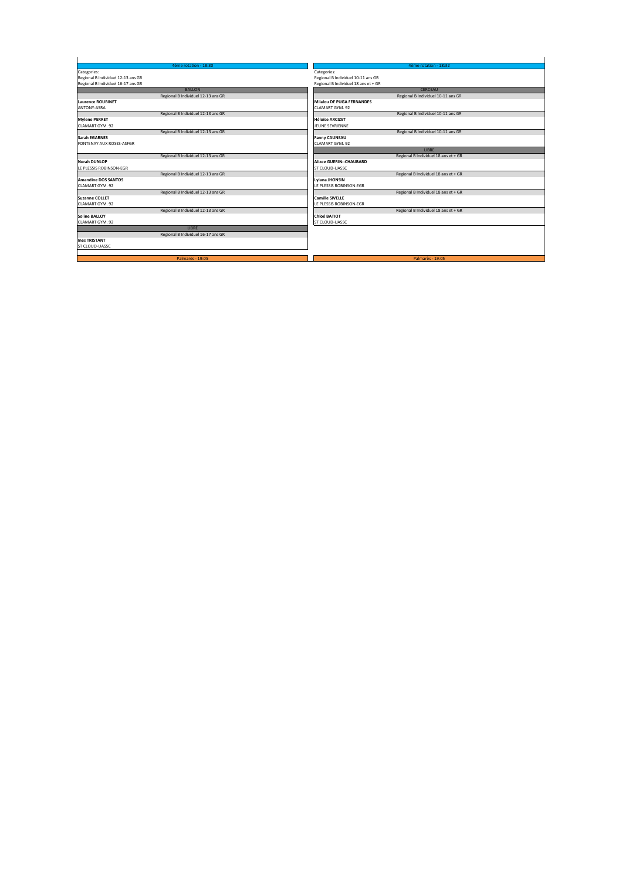| 4ème rotation - 18:30              | 4ème rotation - 18:32                |
|------------------------------------|--------------------------------------|
| Categories:                        | Categories:                          |
| Regional B Individuel 12-13 ans GR | Regional B Individuel 10-11 ans GR   |
| Regional B Individuel 16-17 ans GR | Regional B Individuel 18 ans et + GR |
| <b>BALLON</b>                      | CERCEAU                              |
| Regional B Individuel 12-13 ans GR | Regional B Individuel 10-11 ans GR   |
| <b>Laurence ROUBINET</b>           | <b>Milalou DE PUGA FERNANDES</b>     |
| ANTONY-ASRA                        | CLAMART GYM, 92                      |
| Regional B Individuel 12-13 ans GR | Regional B Individuel 10-11 ans GR   |
| <b>Mylene PERRET</b>               | <b>Héloïse ARCIZET</b>               |
| CLAMART GYM, 92                    | <b>IFUNE SEVRIENNE</b>               |
| Regional B Individuel 12-13 ans GR | Regional B Individuel 10-11 ans GR   |
| <b>Sarah EGARNES</b>               | <b>Fanny CAUNEAU</b>                 |
| FONTENAY AUX ROSES-ASFGR           | CLAMART GYM, 92                      |
|                                    | <b>LIBRE</b>                         |
| Regional B Individuel 12-13 ans GR | Regional B Individuel 18 ans et + GR |
| <b>Norah DUNLOP</b>                | <b>Alizee GUERIN--CHAUBARD</b>       |
| LE PLESSIS ROBINSON-EGR            | ST CLOUD-UASSC                       |
| Regional B Individuel 12-13 ans GR | Regional B Individuel 18 ans et + GR |
| <b>Amandine DOS SANTOS</b>         | Lviana JHONSIN                       |
| CLAMART GYM, 92                    | LE PLESSIS ROBINSON-EGR              |
| Regional B Individuel 12-13 ans GR | Regional B Individuel 18 ans et + GR |
| <b>Suzanne COLLET</b>              | <b>Camille SIVELLE</b>               |
| CLAMART GYM, 92                    | LE PLESSIS ROBINSON-EGR              |
| Regional B Individuel 12-13 ans GR | Regional B Individuel 18 ans et + GR |
| <b>Soline BALLOY</b>               | <b>Chloé BATIOT</b>                  |
| CLAMART GYM, 92                    | ST CLOUD-UASSC                       |
| LIBRE                              |                                      |
| Regional B Individuel 16-17 ans GR |                                      |
| <b>Ines TRISTANT</b>               |                                      |
| ST CLOUD-UASSC                     |                                      |
|                                    |                                      |
| Palmarès - 19:05                   | Palmarès - 19:05                     |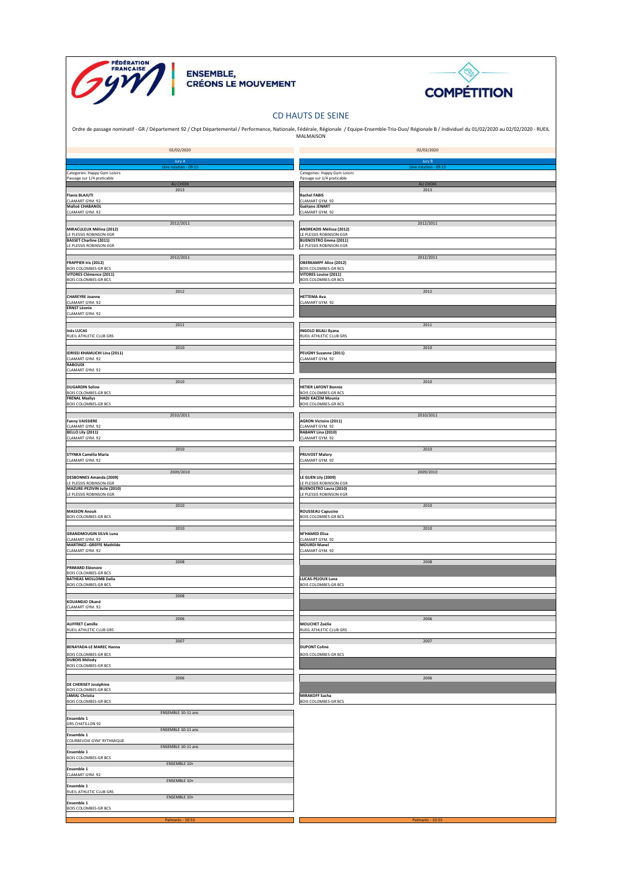





## CD HAUTS DE SEINE

|                                                             | Ordre de passage nominatif - GR / Département 92 / Chpt Départemental / Performance, Nationale, Fédérale, Régionale / Equipe-Ensemble-Trio-Duo/ Régionale B / Individuel du 01/02/2020 au 02/02/2020 - RUEIL<br>MALMAISON |
|-------------------------------------------------------------|---------------------------------------------------------------------------------------------------------------------------------------------------------------------------------------------------------------------------|
| 02/02/2020                                                  | 02/02/2020                                                                                                                                                                                                                |
|                                                             |                                                                                                                                                                                                                           |
| Jury A                                                      | Jury B                                                                                                                                                                                                                    |
| Categories: Happy Gym Loisirs<br>Passage sur 1/4 praticable | Categories: Happy Gym Loisirs<br>Passage sur 1/4 praticable                                                                                                                                                               |
| AU CHOIX<br>2013                                            | AU CHOIX<br>2013                                                                                                                                                                                                          |
| <b>Flavia BLAJUTI</b><br>CLAMART GYM. 92                    | <b>Rachel FABIS</b><br>CLAMART GYM. 92                                                                                                                                                                                    |
| Malloë CHABANOL<br>CLAMART GYM. 92                          | Gaëtane JENART<br>CLAMART GYM. 92                                                                                                                                                                                         |
| 2012/2011                                                   | 2012/2011                                                                                                                                                                                                                 |
| MIRACULEUX Mélina (2012)<br>LE PLESSIS ROBINSON-EGR         | <b>ANDREADIS Mélissa (2012)</b><br>LE PLESSIS ROBINSON-EGR                                                                                                                                                                |
| <b>BASSET Charline (2011)</b><br>LE PLESSIS ROBINSON-EGR    | <b>BUENOSTRO Emma (2011)</b><br>LE PLESSIS ROBINSON-EGR                                                                                                                                                                   |
| 2012/2011                                                   | 2012/2011                                                                                                                                                                                                                 |
| <b>FRAPPIER Iris (2012)</b><br><b>BOIS COLOMBES-GR BCS</b>  | <b>OBERKAMPF Alice (2012)</b><br><b>BOIS COLOMBES-GR BCS</b>                                                                                                                                                              |
| VITORES Clémence (2011)<br><b>BOIS COLOMBES-GR BCS</b>      | <b>VITORES Louise (2011)</b><br><b>BOIS COLOMBES-GR BCS</b>                                                                                                                                                               |
| 2012                                                        | 2012                                                                                                                                                                                                                      |
| <b>CHAREYRE Joanne</b>                                      | <b>HETTEMA Ava</b>                                                                                                                                                                                                        |
| CLAMART GYM. 92<br><b>ERNST Léonie</b>                      | CLAMART GYM. 92                                                                                                                                                                                                           |
| CLAMART GYM. 92                                             |                                                                                                                                                                                                                           |
| 2011<br><b>Inès LUCAS</b>                                   | 2011<br><b>INGOLO BILALI Ilyana</b>                                                                                                                                                                                       |
| RUEIL ATHLETIC CLUB GRS                                     | RUEIL ATHLETIC CLUB GRS                                                                                                                                                                                                   |
| 2010<br>IDRISSI KHAMLICHI Lina (2011)                       | 2010<br>PEUGNY Suzanne (2011)                                                                                                                                                                                             |
| CLAMART GYM. 92<br><b>RABOUDI</b>                           | CLAMART GYM. 92                                                                                                                                                                                                           |
| CLAMART GYM. 92                                             |                                                                                                                                                                                                                           |
| 2010<br><b>DUGARDIN Soline</b>                              | 2010<br><b>HETIER LAFONT Bonnie</b>                                                                                                                                                                                       |
| <b>BOIS COLOMBES-GR BCS</b><br><b>FRENAL Maélys</b>         | <b>BOIS COLOMBES-GR BCS</b><br><b>HADJ KACEM Mounia</b>                                                                                                                                                                   |
| <b>BOIS COLOMBES-GR BCS</b>                                 | <b>BOIS COLOMBES-GR BCS</b>                                                                                                                                                                                               |
| 2010/2011                                                   | 2010/2011                                                                                                                                                                                                                 |
| <b>Fanny VAISSIERE</b><br>CLAMART GYM. 92                   | <b>AGRON Victoire (2011)</b><br>CLAMART GYM. 92                                                                                                                                                                           |
| BELLO Lily (2011)<br>CLAMART GYM. 92                        | RABANY Lina (2010)<br>CLAMART GYM. 92                                                                                                                                                                                     |
| 2010                                                        | 2010                                                                                                                                                                                                                      |
| <b>STYNKA Camélia Maria</b><br>CLAMART GYM. 92              | <b>PRUVOST Malory</b><br>CLAMART GYM. 92                                                                                                                                                                                  |
| 2009/2010                                                   | 2009/2010                                                                                                                                                                                                                 |
| DESBONNES Amanda (2009)<br>LE PLESSIS ROBINSON-EGR          | LE GUEN Lily (2009)<br>LE PLESSIS ROBINSON-EGR                                                                                                                                                                            |
| MAZURE-PEZIVIN Julie (2010)<br>LE PLESSIS ROBINSON-EGR      | <b>BUENOSTRO Laura (2010)</b><br>LE PLESSIS ROBINSON-EGR                                                                                                                                                                  |
| 2010                                                        | 2010                                                                                                                                                                                                                      |
| <b>MASSON Anouk</b><br>BOIS COLOMBES-GR BCS                 | <b>ROUSSEAU Capucine</b><br><b>BOIS COLOMBES-GR BCS</b>                                                                                                                                                                   |
| 2010                                                        | 2010                                                                                                                                                                                                                      |
| <b>GRANDMOUGIN SILVA Luna</b>                               | <b>M'HAMED Elisa</b><br>CLAMART GYM. 92                                                                                                                                                                                   |
| CLAMART GYM. 92<br><b>MARTINEZ--GREFFE Mathilde</b>         | <b>MOURDI Manel</b>                                                                                                                                                                                                       |
| CLAMART GYM. 92                                             | CLAMART GYM. 92                                                                                                                                                                                                           |
| 2008<br><b>PRIMARD Eléonore</b>                             | 2008                                                                                                                                                                                                                      |
| <b>BOIS COLOMBES-GR BCS</b><br><b>BATHEAS MOLLOMB Dalia</b> | LUCAS-PEJOUX Luna                                                                                                                                                                                                         |
| <b>BOIS COLOMBES-GR BCS</b>                                 | <b>BOIS COLOMBES-GR BCS</b>                                                                                                                                                                                               |
| 2008<br>KOUANDJO Okané                                      |                                                                                                                                                                                                                           |
| CLAMART GYM. 92                                             |                                                                                                                                                                                                                           |
| 2006<br><b>AUFFRET Camille</b>                              | 2006<br><b>MOUCHET Zoélie</b>                                                                                                                                                                                             |
| RUEIL ATHLETIC CLUB GRS                                     | RUEIL ATHLETIC CLUB GRS                                                                                                                                                                                                   |
| 2007<br><b>BENAYADA-LE MAREC Hanna</b>                      | 2007<br><b>DUPONT Coline</b>                                                                                                                                                                                              |
| <b>BOIS COLOMBES-GR BCS</b>                                 | BOIS COLOMBES-GR BCS                                                                                                                                                                                                      |
| <b>DUBOIS Mélody</b><br><b>BOIS COLOMBES-GR BCS</b>         |                                                                                                                                                                                                                           |
| 2006                                                        | 2006                                                                                                                                                                                                                      |
| DE CHERISEY Joséphine<br><b>BOIS COLOMBES-GR BCS</b>        |                                                                                                                                                                                                                           |
| <b>JAMAL Christia</b><br><b>BOIS COLOMBES-GR BCS</b>        | <b>MIRAKOFF Sacha</b><br><b>BOIS COLOMBES-GR BCS</b>                                                                                                                                                                      |
| ENSEMBLE 10-11 ans                                          |                                                                                                                                                                                                                           |
| Ensemble 1                                                  |                                                                                                                                                                                                                           |
| <b>GRS CHATILLON 92</b><br>ENSEMBLE 10-11 ans               |                                                                                                                                                                                                                           |
| Ensemble 1<br>COURBEVOIE GYM' RYTHMIQUE                     |                                                                                                                                                                                                                           |
| ENSEMBLE 10-11 ans<br>Ensemble 1                            |                                                                                                                                                                                                                           |
| <b>BOIS COLOMBES-GR BCS</b><br>ENSEMBLE 10+                 |                                                                                                                                                                                                                           |
| Ensemble 1<br>CLAMART GYM. 92                               |                                                                                                                                                                                                                           |
| ENSEMBLE 10+<br>Ensemble 1                                  |                                                                                                                                                                                                                           |
| RUEIL ATHLETIC CLUB GRS<br>ENSEMBLE 10+                     |                                                                                                                                                                                                                           |
| Ensemble 1<br><b>BOIS COLOMBES-GR BCS</b>                   |                                                                                                                                                                                                                           |
| Palmarès - 10:55                                            | Palmarès - 10:55                                                                                                                                                                                                          |
|                                                             |                                                                                                                                                                                                                           |